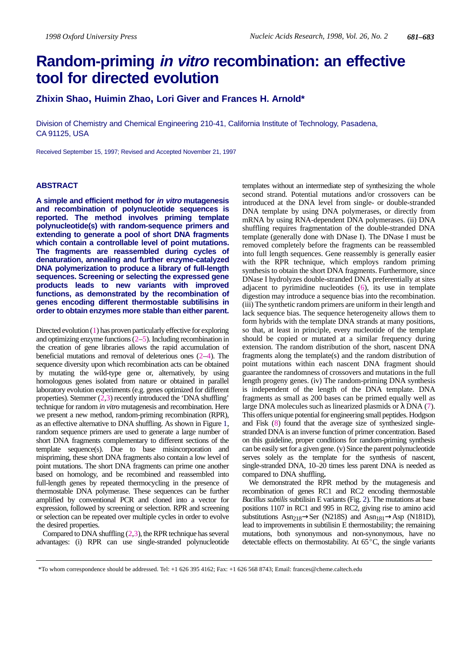# **Random-priming in vitro recombination: an effective tool for directed evolution**

**Zhixin Shao, Huimin Zhao, Lori Giver and Frances H. Arnold\***

Division of Chemistry and Chemical Engineering 210-41, California Institute of Technology, Pasadena, CA 91125, USA

Received September 15, 1997; Revised and Accepted November 21, 1997

### **ABSTRACT**

**A simple and efficient method for in vitro mutagenesis and recombination of polynucleotide sequences is reported. The method involves priming template polynucleotide(s) with random-sequence primers and extending to generate a pool of short DNA fragments which contain a controllable level of point mutations. The fragments are reassembled during cycles of denaturation, annealing and further enzyme-catalyzed DNA polymerization to produce a library of full-length sequences. Screening or selecting the expressed gene products leads to new variants with improved functions, as demonstrated by the recombination of genes encoding different thermostable subtilisins in order to obtain enzymes more stable than either parent.**

Directed evolution (1) has proven particularly effective for exploring and optimizing enzyme functions  $(2-5)$ . Including recombination in the creation of gene libraries allows the rapid accumulation of beneficial mutations and removal of deleterious ones (2–4). The sequence diversity upon which recombination acts can be obtained by mutating the wild-type gene or, alternatively, by using homologous genes isolated from nature or obtained in parallel laboratory evolution experiments (e.g. genes optimized for different properties). Stemmer  $(2,3)$  recently introduced the 'DNA shuffling' technique for random *in vitro* mutagenesis and recombination. Here we present a new method, random-priming recombination (RPR), as an effective alternative to DNA shuffling. As shown in Figure 1, random sequence primers are used to generate a large number of short DNA fragments complementary to different sections of the template sequence(s). Due to base misincorporation and mispriming, these short DNA fragments also contain a low level of point mutations. The short DNA fragments can prime one another based on homology, and be recombined and reassembled into full-length genes by repeated thermocycling in the presence of thermostable DNA polymerase. These sequences can be further amplified by conventional PCR and cloned into a vector for expression, followed by screening or selection. RPR and screening or selection can be repeated over multiple cycles in order to evolve the desired properties.

Compared to DNA shuffling  $(2,3)$ , the RPR technique has several advantages: (i) RPR can use single-stranded polynucleotide

templates without an intermediate step of synthesizing the whole second strand. Potential mutations and/or crossovers can be introduced at the DNA level from single- or double-stranded DNA template by using DNA polymerases, or directly from mRNA by using RNA-dependent DNA polymerases. (ii) DNA shuffling requires fragmentation of the double-stranded DNA template (generally done with DNase I). The DNase I must be removed completely before the fragments can be reassembled into full length sequences. Gene reassembly is generally easier with the RPR technique, which employs random priming synthesis to obtain the short DNA fragments. Furthermore, since DNase I hydrolyzes double-stranded DNA preferentially at sites adjacent to pyrimidine nucleotides (6), its use in template digestion may introduce a sequence bias into the recombination. (iii) The synthetic random primers are uniform in their length and lack sequence bias. The sequence heterogeneity allows them to form hybrids with the template DNA strands at many positions, so that, at least in principle, every nucleotide of the template should be copied or mutated at a similar frequency during extension. The random distribution of the short, nascent DNA fragments along the template(s) and the random distribution of point mutations within each nascent DNA fragment should guarantee the randomness of crossovers and mutations in the full length progeny genes. (iv) The random-priming DNA synthesis is independent of the length of the DNA template. DNA fragments as small as 200 bases can be primed equally well as large DNA molecules such as linearized plasmids or  $\lambda$  DNA (7). This offers unique potential for engineering small peptides. Hodgson and Fisk (8) found that the average size of synthesized singlestranded DNA is an inverse function of primer concentration. Based on this guideline, proper conditions for random-priming synthesis can be easily set for a given gene. (v) Since the parent polynucleotide serves solely as the template for the synthesis of nascent, single-stranded DNA, 10–20 times less parent DNA is needed as compared to DNA shuffling**.**

We demonstrated the RPR method by the mutagenesis and recombination of genes RC1 and RC2 encoding thermostable *Bacillus subtilis* subtilisin E variants (Fig. 2). The mutations at base positions 1107 in RC1 and 995 in RC2, giving rise to amino acid substitutions Asn<sub>218</sub> $\rightarrow$ Ser (N218S) and Asn<sub>181</sub> $\rightarrow$ Asp (N181D), lead to improvements in subtilisin E thermostability; the remaining exaction in provencing in successing Lemannian Commutations, both synonymous and non-synonymous, have no<br>detectable effects on thermostability. At 65<sup>°</sup>C, the single variants

<sup>\*</sup>To whom correspondence should be addressed. Tel: +1 626 395 4162; Fax: +1 626 568 8743; Email: frances@cheme.caltech.edu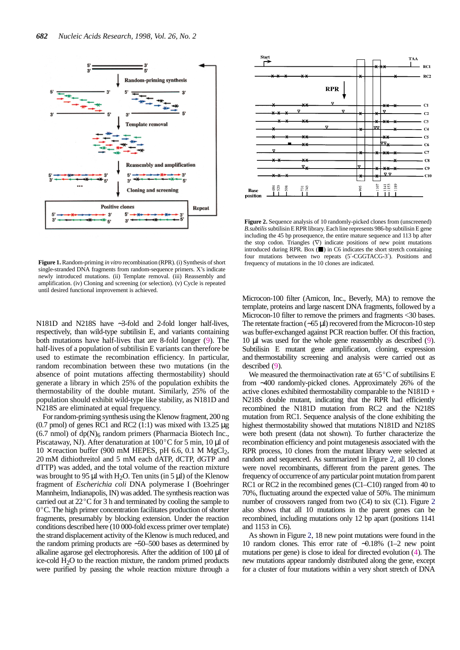

**Figure 1.** Random-priming *in vitro* recombination (RPR). (i) Synthesis of short single-stranded DNA fragments from random-sequence primers. X's indicate newly introduced mutations. (ii) Template removal. (iii) Reassembly and amplification. (iv) Cloning and screening (or selection). (v) Cycle is repeated until desired functional improvement is achieved.

N181D and N218S have ∼3-fold and 2-fold longer half-lives, respectively, than wild-type subtilisin E, and variants containing both mutations have half-lives that are 8-fold longer (9). The half-lives of a population of subtilisin E variants can therefore be used to estimate the recombination efficiency. In particular, random recombination between these two mutations (in the absence of point mutations affecting thermostability) should generate a library in which 25% of the population exhibits the thermostability of the double mutant. Similarly, 25% of the population should exhibit wild-type like stability, as N181D and N218S are eliminated at equal frequency.

For random-priming synthesis using the Klenow fragment, 200 ng  $(0.7 \text{ pmol})$  of genes RC1 and RC2  $(1.1)$  was mixed with 13.25  $\mu$ g (6.7 nmol) of dp(N)<sub>6</sub> random primers (Pharmacia Biotech Inc., Piscataway, NJ). After denaturation at  $100^{\circ}$ C for 5 min, 10  $\mu$ l of Piscataway, NJ). After denaturation at  $100^{\circ}$ C for 5 min, 10 µl of  $10 \times$  reaction buffer (900 mM HEPES, pH 6.6, 0.1 M MgCl<sub>2</sub>, 20 mM dithiothreitol and 5 mM each dATP, dCTP, dGTP and dTTP) was added, and the total volume of the reaction mixture was brought to 95  $\mu$ l with H<sub>2</sub>O. Ten units (in 5  $\mu$ l) of the Klenow fragment of *Escherichia coli* DNA polymerase I (Boehringer Mannheim, Indianapolis, IN) was added. The synthesis reaction was carried out at 22<sup>°</sup>C for 3 h and terminated by cooling the sample to Examinent, indial points, it is was added. The synthesis reaction was<br>carried out at  $22^{\circ}$ C for 3 h and terminated by cooling the sample to<br> $0^{\circ}$ C. The high primer concentration facilitates production of shorter  $0^{\circ}$ C. The high primer concentration facilitates production of shorter fragments, presumably by blocking extension. Under the reaction conditions described here (10 000-fold excess primer over template) the strand displacement activity of the Klenow is much reduced, and the random priming products are ∼50–500 bases as determined by alkaline agarose gel electrophoresis. After the addition of 100 µl of ice-cold H2O to the reaction mixture, the random primed products were purified by passing the whole reaction mixture through a



**Figure 2.** Sequence analysis of 10 randomly-picked clones from (unscreened) *B.subtilis*subtilisin E RPR library. Each line represents 986-bp subtilisin E gene including the 45 bp prosequence, the entire mature sequence and 113 bp after the stop codon. Triangles  $(\nabla)$  indicate positions of new point mutations introduced during RPR. Box  $(\blacksquare)$  in C6 indicates the short stretch containing four mutations between two repeats (5′-CGGTACG-3′). Positions and frequency of mutations in the 10 clones are indicated.

Microcon-100 filter (Amicon, Inc., Beverly, MA) to remove the template, proteins and large nascent DNA fragments, followed by a Microcon-10 filter to remove the primers and fragments <30 bases. The retentate fraction (∼65 µl) recovered from the Microcon-10 step was buffer-exchanged against PCR reaction buffer. Of this fraction, 10 µl was used for the whole gene reassembly as described (9). Subtilisin E mutant gene amplification, cloning, expression and thermostability screening and analysis were carried out as described (9). A distribution of selecting and analysis were called out as<br>scribed (9).<br>We measured the thermoinactivation rate at 65 °C of subtilisins E

from ∼400 randomly-picked clones. Approximately 26% of the active clones exhibited thermostability comparable to the N181D + N218S double mutant, indicating that the RPR had efficiently recombined the N181D mutation from RC2 and the N218S mutation from RC1. Sequence analysis of the clone exhibiting the highest thermostability showed that mutations N181D and N218S were both present (data not shown). To further characterize the recombination efficiency and point mutagenesis associated with the RPR process, 10 clones from the mutant library were selected at random and sequenced. As summarized in Figure 2, all 10 clones were novel recombinants, different from the parent genes. The frequency of occurrence of any particular point mutation from parent RC1 or RC2 in the recombined genes (C1–C10) ranged from 40 to 70%, fluctuating around the expected value of 50%. The minimum number of crossovers ranged from two (C4) to six (C1). Figure 2 also shows that all 10 mutations in the parent genes can be recombined, including mutations only 12 bp apart (positions 1141 and 1153 in C6).

As shown in Figure 2, 18 new point mutations were found in the 10 random clones. This error rate of ∼0.18% (1–2 new point mutations per gene) is close to ideal for directed evolution (4). The new mutations appear randomly distributed along the gene, except for a cluster of four mutations within a very short stretch of DNA